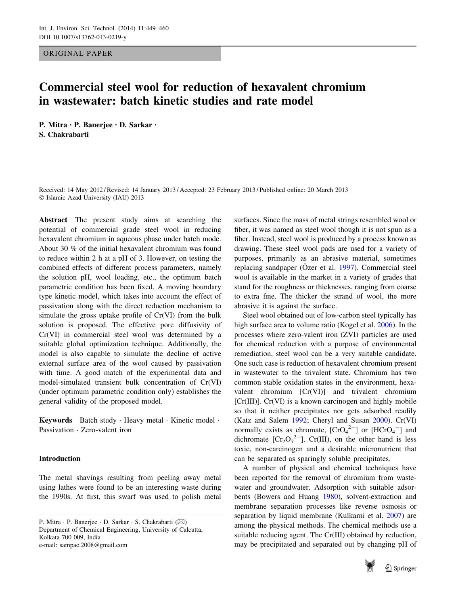ORIGINAL PAPER

# Commercial steel wool for reduction of hexavalent chromium in wastewater: batch kinetic studies and rate model

P. Mitra • P. Banerjee • D. Sarkar • S. Chakrabarti

Received: 14 May 2012 / Revised: 14 January 2013 / Accepted: 23 February 2013 / Published online: 20 March 2013 - Islamic Azad University (IAU) 2013

Abstract The present study aims at searching the potential of commercial grade steel wool in reducing hexavalent chromium in aqueous phase under batch mode. About 30 % of the initial hexavalent chromium was found to reduce within 2 h at a pH of 3. However, on testing the combined effects of different process parameters, namely the solution pH, wool loading, etc., the optimum batch parametric condition has been fixed. A moving boundary type kinetic model, which takes into account the effect of passivation along with the direct reduction mechanism to simulate the gross uptake profile of Cr(VI) from the bulk solution is proposed. The effective pore diffusivity of Cr(VI) in commercial steel wool was determined by a suitable global optimization technique. Additionally, the model is also capable to simulate the decline of active external surface area of the wool caused by passivation with time. A good match of the experimental data and model-simulated transient bulk concentration of Cr(VI) (under optimum parametric condition only) establishes the general validity of the proposed model.

Keywords Batch study · Heavy metal · Kinetic model · Passivation - Zero-valent iron

# Introduction

The metal shavings resulting from peeling away metal using lathes were found to be an interesting waste during the 1990s. At first, this swarf was used to polish metal

P. Mitra · P. Banerjee · D. Sarkar · S. Chakrabarti (⊠) Department of Chemical Engineering, University of Calcutta, Kolkata 700 009, India e-mail: sampac.2008@gmail.com

surfaces. Since the mass of metal strings resembled wool or fiber, it was named as steel wool though it is not spun as a fiber. Instead, steel wool is produced by a process known as drawing. These steel wool pads are used for a variety of purposes, primarily as an abrasive material, sometimes replacing sandpaper (Özer et al. [1997\)](#page-10-0). Commercial steel wool is available in the market in a variety of grades that stand for the roughness or thicknesses, ranging from coarse to extra fine. The thicker the strand of wool, the more abrasive it is against the surface.

Steel wool obtained out of low-carbon steel typically has high surface area to volume ratio (Kogel et al. [2006\)](#page-10-0). In the processes where zero-valent iron (ZVI) particles are used for chemical reduction with a purpose of environmental remediation, steel wool can be a very suitable candidate. One such case is reduction of hexavalent chromium present in wastewater to the trivalent state. Chromium has two common stable oxidation states in the environment, hexavalent chromium [Cr(VI)] and trivalent chromium [Cr(III)]. Cr(VI) is a known carcinogen and highly mobile so that it neither precipitates nor gets adsorbed readily (Katz and Salem [1992](#page-10-0); Cheryl and Susan [2000\)](#page-10-0). Cr(VI) normally exists as chromate,  $[CrO_4^{2-}]$  or  $[HCrO_4^-]$  and dichromate  $[Cr_2O_7^{2-}]$ . Cr(III), on the other hand is less toxic, non-carcinogen and a desirable micronutrient that can be separated as sparingly soluble precipitates.

A number of physical and chemical techniques have been reported for the removal of chromium from wastewater and groundwater. Adsorption with suitable adsorbents (Bowers and Huang [1980\)](#page-10-0), solvent-extraction and membrane separation processes like reverse osmosis or separation by liquid membrane (Kulkarni et al. [2007\)](#page-10-0) are among the physical methods. The chemical methods use a suitable reducing agent. The Cr(III) obtained by reduction, may be precipitated and separated out by changing pH of

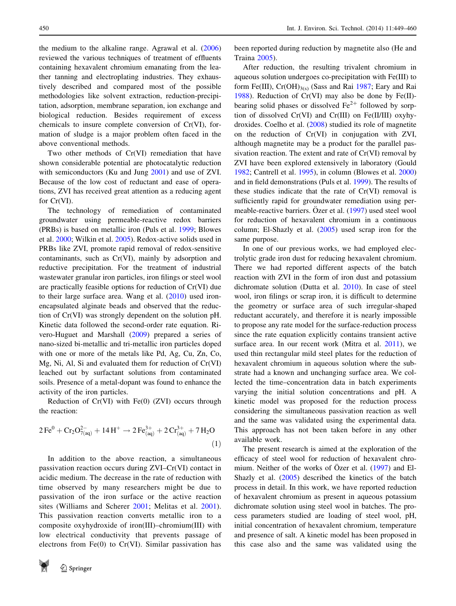<span id="page-1-0"></span>the medium to the alkaline range. Agrawal et al. ([2006\)](#page-10-0) reviewed the various techniques of treatment of effluents containing hexavalent chromium emanating from the leather tanning and electroplating industries. They exhaustively described and compared most of the possible methodologies like solvent extraction, reduction-precipitation, adsorption, membrane separation, ion exchange and biological reduction. Besides requirement of excess chemicals to insure complete conversion of Cr(VI), formation of sludge is a major problem often faced in the above conventional methods.

Two other methods of Cr(VI) remediation that have shown considerable potential are photocatalytic reduction with semiconductors (Ku and Jung [2001](#page-10-0)) and use of ZVI. Because of the low cost of reductant and ease of operations, ZVI has received great attention as a reducing agent for Cr(VI).

The technology of remediation of contaminated groundwater using permeable-reactive redox barriers (PRBs) is based on metallic iron (Puls et al. [1999](#page-11-0); Blowes et al. [2000;](#page-10-0) Wilkin et al. [2005\)](#page-11-0). Redox-active solids used in PRBs like ZVI, promote rapid removal of redox-sensitive contaminants, such as Cr(VI), mainly by adsorption and reductive precipitation. For the treatment of industrial wastewater granular iron particles, iron filings or steel wool are practically feasible options for reduction of Cr(VI) due to their large surface area. Wang et al. [\(2010](#page-11-0)) used ironencapsulated alginate beads and observed that the reduction of Cr(VI) was strongly dependent on the solution pH. Kinetic data followed the second-order rate equation. Rivero-Huguet and Marshall [\(2009](#page-11-0)) prepared a series of nano-sized bi-metallic and tri-metallic iron particles doped with one or more of the metals like Pd, Ag, Cu, Zn, Co, Mg, Ni, Al, Si and evaluated them for reduction of Cr(VI) leached out by surfactant solutions from contaminated soils. Presence of a metal-dopant was found to enhance the activity of the iron particles.

Reduction of  $Cr(VI)$  with  $Fe(0)$  (ZVI) occurs through the reaction:

$$
2\,\mathrm{Fe}^{0} + \mathrm{Cr}_{2}\mathrm{O}_{7(aq)}^{2-} + 14\,\mathrm{H}^{+} \rightarrow 2\,\mathrm{Fe}^{3+}_{(aq)} + 2\,\mathrm{Cr}_{(aq)}^{3+} + 7\,\mathrm{H}_{2}\mathrm{O}
$$
\n
$$
\tag{1}
$$

In addition to the above reaction, a simultaneous passivation reaction occurs during ZVI–Cr(VI) contact in acidic medium. The decrease in the rate of reduction with time observed by many researchers might be due to passivation of the iron surface or the active reaction sites (Williams and Scherer [2001](#page-11-0); Melitas et al. [2001](#page-10-0)). This passivation reaction converts metallic iron to a composite oxyhydroxide of iron(III)–chromium(III) with low electrical conductivity that prevents passage of electrons from Fe(0) to Cr(VI). Similar passivation has



been reported during reduction by magnetite also (He and Traina [2005\)](#page-10-0).

After reduction, the resulting trivalent chromium in aqueous solution undergoes co-precipitation with Fe(III) to form Fe(III),  $Cr(OH)_{3(s)}$  (Sass and Rai [1987;](#page-11-0) Eary and Rai [1988](#page-10-0)). Reduction of Cr(VI) may also be done by Fe(II)bearing solid phases or dissolved  $Fe^{2+}$  followed by sorption of dissolved Cr(VI) and Cr(III) on Fe(II/III) oxyhydroxides. Coelho et al. [\(2008](#page-10-0)) studied its role of magnetite on the reduction of Cr(VI) in conjugation with ZVI, although magnetite may be a product for the parallel passivation reaction. The extent and rate of Cr(VI) removal by ZVI have been explored extensively in laboratory (Gould [1982](#page-10-0); Cantrell et al. [1995\)](#page-10-0), in column (Blowes et al. [2000\)](#page-10-0) and in field demonstrations (Puls et al. [1999](#page-11-0)). The results of these studies indicate that the rate of Cr(VI) removal is sufficiently rapid for groundwater remediation using per-meable-reactive barriers. Özer et al. [\(1997](#page-10-0)) used steel wool for reduction of hexavalent chromium in a continuous column; El-Shazly et al. ([2005\)](#page-10-0) used scrap iron for the same purpose.

In one of our previous works, we had employed electrolytic grade iron dust for reducing hexavalent chromium. There we had reported different aspects of the batch reaction with ZVI in the form of iron dust and potassium dichromate solution (Dutta et al. [2010](#page-10-0)). In case of steel wool, iron filings or scrap iron, it is difficult to determine the geometry or surface area of such irregular-shaped reductant accurately, and therefore it is nearly impossible to propose any rate model for the surface-reduction process since the rate equation explicitly contains transient active surface area. In our recent work (Mitra et al. [2011](#page-10-0)), we used thin rectangular mild steel plates for the reduction of hexavalent chromium in aqueous solution where the substrate had a known and unchanging surface area. We collected the time–concentration data in batch experiments varying the initial solution concentrations and pH. A kinetic model was proposed for the reduction process considering the simultaneous passivation reaction as well and the same was validated using the experimental data. This approach has not been taken before in any other available work.

The present research is aimed at the exploration of the efficacy of steel wool for reduction of hexavalent chromium. Neither of the works of Özer et al.  $(1997)$  $(1997)$  and El-Shazly et al. [\(2005](#page-10-0)) described the kinetics of the batch process in detail. In this work, we have reported reduction of hexavalent chromium as present in aqueous potassium dichromate solution using steel wool in batches. The process parameters studied are loading of steel wool, pH, initial concentration of hexavalent chromium, temperature and presence of salt. A kinetic model has been proposed in this case also and the same was validated using the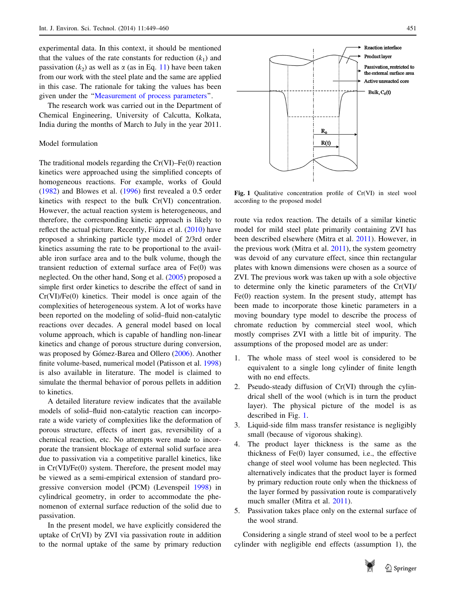<span id="page-2-0"></span>experimental data. In this context, it should be mentioned that the values of the rate constants for reduction  $(k_1)$  and passivation  $(k_2)$  as well as  $\alpha$  (as in Eq. [11](#page-3-0)) have been taken from our work with the steel plate and the same are applied in this case. The rationale for taking the values has been given under the ''[Measurement of process parameters](#page-4-0)''.

The research work was carried out in the Department of Chemical Engineering, University of Calcutta, Kolkata, India during the months of March to July in the year 2011.

# Model formulation

The traditional models regarding the  $Cr(VI)$ –Fe $(0)$  reaction kinetics were approached using the simplified concepts of homogeneous reactions. For example, works of Gould [\(1982](#page-10-0)) and Blowes et al. [\(1996](#page-10-0)) first revealed a 0.5 order kinetics with respect to the bulk Cr(VI) concentration. However, the actual reaction system is heterogeneous, and therefore, the corresponding kinetic approach is likely to reflect the actual picture. Recently, Fiúza et al. [\(2010](#page-10-0)) have proposed a shrinking particle type model of 2/3rd order kinetics assuming the rate to be proportional to the available iron surface area and to the bulk volume, though the transient reduction of external surface area of Fe(0) was neglected. On the other hand, Song et al. ([2005\)](#page-11-0) proposed a simple first order kinetics to describe the effect of sand in Cr(VI)/Fe(0) kinetics. Their model is once again of the complexities of heterogeneous system. A lot of works have been reported on the modeling of solid–fluid non-catalytic reactions over decades. A general model based on local volume approach, which is capable of handling non-linear kinetics and change of porous structure during conversion, was proposed by Gómez-Barea and Ollero ([2006\)](#page-10-0). Another finite volume-based, numerical model (Patisson et al. [1998\)](#page-10-0) is also available in literature. The model is claimed to simulate the thermal behavior of porous pellets in addition to kinetics.

A detailed literature review indicates that the available models of solid–fluid non-catalytic reaction can incorporate a wide variety of complexities like the deformation of porous structure, effects of inert gas, reversibility of a chemical reaction, etc. No attempts were made to incorporate the transient blockage of external solid surface area due to passivation via a competitive parallel kinetics, like in Cr(VI)/Fe(0) system. Therefore, the present model may be viewed as a semi-empirical extension of standard progressive conversion model (PCM) (Levenspeil [1998\)](#page-10-0) in cylindrical geometry, in order to accommodate the phenomenon of external surface reduction of the solid due to passivation.

In the present model, we have explicitly considered the uptake of Cr(VI) by ZVI via passivation route in addition to the normal uptake of the same by primary reduction



Fig. 1 Qualitative concentration profile of Cr(VI) in steel wool according to the proposed model

route via redox reaction. The details of a similar kinetic model for mild steel plate primarily containing ZVI has been described elsewhere (Mitra et al. [2011](#page-10-0)). However, in the previous work (Mitra et al. [2011](#page-10-0)), the system geometry was devoid of any curvature effect, since thin rectangular plates with known dimensions were chosen as a source of ZVI. The previous work was taken up with a sole objective to determine only the kinetic parameters of the Cr(VI)/ Fe(0) reaction system. In the present study, attempt has been made to incorporate those kinetic parameters in a moving boundary type model to describe the process of chromate reduction by commercial steel wool, which mostly comprises ZVI with a little bit of impurity. The assumptions of the proposed model are as under:

- 1. The whole mass of steel wool is considered to be equivalent to a single long cylinder of finite length with no end effects.
- 2. Pseudo-steady diffusion of Cr(VI) through the cylindrical shell of the wool (which is in turn the product layer). The physical picture of the model is as described in Fig. 1.
- 3. Liquid-side film mass transfer resistance is negligibly small (because of vigorous shaking).
- 4. The product layer thickness is the same as the thickness of Fe(0) layer consumed, i.e., the effective change of steel wool volume has been neglected. This alternatively indicates that the product layer is formed by primary reduction route only when the thickness of the layer formed by passivation route is comparatively much smaller (Mitra et al. [2011\)](#page-10-0).
- 5. Passivation takes place only on the external surface of the wool strand.

Considering a single strand of steel wool to be a perfect cylinder with negligible end effects (assumption 1), the

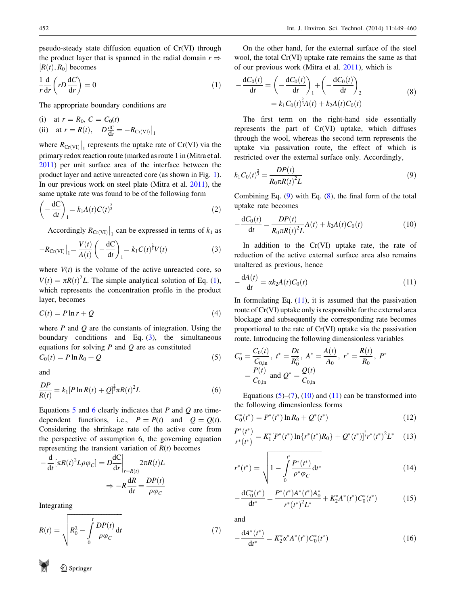<span id="page-3-0"></span>pseudo-steady state diffusion equation of Cr(VI) through the product layer that is spanned in the radial domain  $r \Rightarrow$  $[R(t), R_0]$  becomes

$$
\frac{1}{r}\frac{d}{dr}\left(rD\frac{dC}{dr}\right) = 0\tag{1}
$$

The appropriate boundary conditions are

(i) at 
$$
r = R_0
$$
,  $C = C_0(t)$   
\n(ii) at  $r = R(t)$ ,  $D \frac{dC}{dr} = -R_{Cr(VI)}\Big|_1$ 

where  $R_{\text{Cr}(VI)}\big|_1$  represents the uptake rate of Cr(VI) via the primary redox reaction route (marked as route 1 in (Mitra et al. [2011\)](#page-10-0) per unit surface area of the interface between the product layer and active unreacted core (as shown in Fig. [1](#page-2-0)). In our previous work on steel plate (Mitra et al. [2011\)](#page-10-0), the same uptake rate was found to be of the following form

$$
\left(-\frac{\mathrm{d}C}{\mathrm{d}t}\right)_1 = k_1 A(t) C(t)^{\frac{2}{3}} \tag{2}
$$

Accordingly  $R_{\text{Cr}(VI)}\big|_1$  can be expressed in terms of  $k_1$  as

$$
-R_{\text{Cr(VI)}}\big|_1 = \frac{V(t)}{A(t)} \left(-\frac{\text{d}C}{\text{d}t}\right)_1 = k_1 C(t)^{\frac{2}{3}} V(t) \tag{3}
$$

where  $V(t)$  is the volume of the active unreacted core, so  $V(t) = \pi R(t)^2 L$ . The simple analytical solution of Eq. [\(1](#page-1-0)), which represents the concentration profile in the product layer, becomes

$$
C(t) = P \ln r + Q \tag{4}
$$

where  $P$  and  $Q$  are the constants of integration. Using the boundary conditions and Eq. (3), the simultaneous equations for solving  $P$  and  $Q$  are as constituted

$$
C_0(t) = P \ln R_0 + Q \tag{5}
$$

and

$$
\frac{DP}{R(t)} = k_1 [P \ln R(t) + Q]^{\frac{2}{3}} \pi R(t)^2 L \tag{6}
$$

Equations 5 and 6 clearly indicates that  $P$  and  $Q$  are timedependent functions, i.e.,  $P = P(t)$  and  $Q = Q(t)$ . Considering the shrinkage rate of the active core from the perspective of assumption 6, the governing equation representing the transient variation of  $R(t)$  becomes

$$
-\frac{d}{dt}[\pi R(t)^2 L \rho \varphi_C] = D \frac{dC}{dr} \Big|_{r=R(t)} 2\pi R(t) L
$$

$$
\Rightarrow -R \frac{dR}{dt} = \frac{DP(t)}{\rho \varphi_C}
$$

Integrating

$$
R(t) = \sqrt{R_0^2 - \int_0^t \frac{DP(t)}{\rho \varphi_C} dt}
$$
 (7)

On the other hand, for the external surface of the steel wool, the total Cr(VI) uptake rate remains the same as that of our previous work (Mitra et al. [2011\)](#page-10-0), which is

$$
-\frac{dC_0(t)}{dt} = \left(-\frac{dC_0(t)}{dt}\right)_1 + \left(-\frac{dC_0(t)}{dt}\right)_2
$$
  
=  $k_1 C_0(t)^{\frac{2}{3}} A(t) + k_2 A(t) C_0(t)$  (8)

The first term on the right-hand side essentially represents the part of Cr(VI) uptake, which diffuses through the wool, whereas the second term represents the uptake via passivation route, the effect of which is restricted over the external surface only. Accordingly,

$$
k_1 C_0(t)^{\frac{2}{3}} = \frac{DP(t)}{R_0 \pi R(t)^2 L}
$$
\n(9)

Combining Eq. (9) with Eq. (8), the final form of the total uptake rate becomes

$$
-\frac{dC_0(t)}{dt} = \frac{DP(t)}{R_0\pi R(t)^2 L}A(t) + k_2 A(t)C_0(t)
$$
\n(10)

In addition to the  $Cr(VI)$  uptake rate, the rate of reduction of the active external surface area also remains unaltered as previous, hence

$$
-\frac{dA(t)}{dt} = \alpha k_2 A(t) C_0(t)
$$
\n(11)

In formulating Eq.  $(11)$ , it is assumed that the passivation route of Cr(VI) uptake only is responsible for the external area blockage and subsequently the corresponding rate becomes proportional to the rate of Cr(VI) uptake via the passivation route. Introducing the following dimensionless variables

$$
C_0^* = \frac{C_0(t)}{C_{0,\text{in}}}, t^* = \frac{Dt}{R_0^2}, A^* = \frac{A(t)}{A_0}, r^* = \frac{R(t)}{R_0}, P^*
$$
  
=  $\frac{P(t)}{C_{0,\text{in}}}$  and  $Q^* = \frac{Q(t)}{C_{0,\text{in}}}$ 

Equations  $(5)$ – $(7)$ ,  $(10)$  and  $(11)$  can be transformed into the following dimensionless forms

$$
C_0^*(t^*) = P^*(t^*) \ln R_0 + Q^*(t^*)
$$
\n(12)

$$
\frac{P^*(t^*)}{r^*(t^*)} = K_1^*[P^*(t^*) \ln\{r^*(t^*)R_0\} + Q^*(t^*)]^{\frac{2}{3}}r^*(t^*)^2L^*
$$
(13)

$$
r^*(t^*) = \sqrt{1 - \int_0^t \frac{P^*(t^*)}{\rho^* \varphi_C} \mathrm{d}t^*}
$$
(14)

$$
-\frac{\mathrm{d}C_0^*(t^*)}{\mathrm{d}t^*} = \frac{P^*(t^*)A^*(t^*)A_0^*}{r^*(t^*)^2L^*} + K_2^*A^*(t^*)C_0^*(t^*)\tag{15}
$$

and

$$
-\frac{dA^*(t^*)}{dt^*} = K_2^* \alpha^* A^*(t^*) C_0^*(t^*)
$$
\n(16)

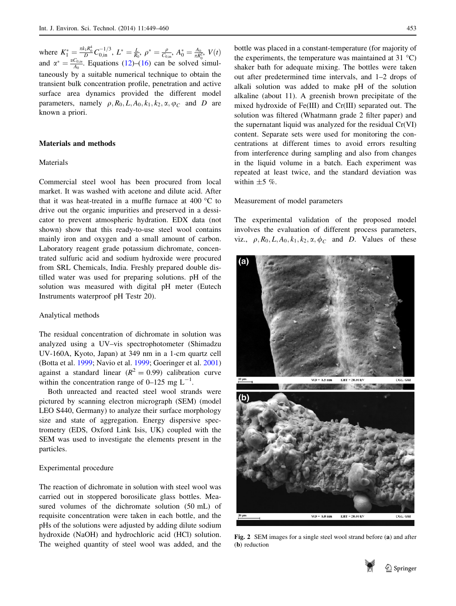<span id="page-4-0"></span>where  $K_1^* = \frac{\pi k_1 R_0^4}{D} C_{0,\text{in}}^{-1/3}$ ,  $L^* = \frac{L}{R_0}$ ,  $\rho^* = \frac{\rho}{C_{0,\text{in}}}$ ,  $A_0^* = \frac{A_0}{\pi R_0^3}$ ,  $V(t)$ and  $\alpha^* = \frac{\alpha C_{0,in}}{A_0}$ . Equations [\(12](#page-3-0))–[\(16](#page-3-0)) can be solved simultaneously by a suitable numerical technique to obtain the transient bulk concentration profile, penetration and active surface area dynamics provided the different model parameters, namely  $\rho$ ,  $R_0$ ,  $L$ ,  $A_0$ ,  $k_1$ ,  $k_2$ ,  $\alpha$ ,  $\varphi_C$  and D are known a priori.

## Materials and methods

# Materials

Commercial steel wool has been procured from local market. It was washed with acetone and dilute acid. After that it was heat-treated in a muffle furnace at  $400^{\circ}$ C to drive out the organic impurities and preserved in a dessicator to prevent atmospheric hydration. EDX data (not shown) show that this ready-to-use steel wool contains mainly iron and oxygen and a small amount of carbon. Laboratory reagent grade potassium dichromate, concentrated sulfuric acid and sodium hydroxide were procured from SRL Chemicals, India. Freshly prepared double distilled water was used for preparing solutions. pH of the solution was measured with digital pH meter (Eutech Instruments waterproof pH Testr 20).

#### Analytical methods

The residual concentration of dichromate in solution was analyzed using a UV–vis spectrophotometer (Shimadzu UV-160A, Kyoto, Japan) at 349 nm in a 1-cm quartz cell (Botta et al. [1999;](#page-10-0) Navio et al. [1999](#page-10-0); Goeringer et al. [2001\)](#page-10-0) against a standard linear  $(R^2 = 0.99)$  calibration curve within the concentration range of  $0-125$  mg  $L^{-1}$ .

Both unreacted and reacted steel wool strands were pictured by scanning electron micrograph (SEM) (model LEO S440, Germany) to analyze their surface morphology size and state of aggregation. Energy dispersive spectrometry (EDS, Oxford Link Isis, UK) coupled with the SEM was used to investigate the elements present in the particles.

## Experimental procedure

The reaction of dichromate in solution with steel wool was carried out in stoppered borosilicate glass bottles. Measured volumes of the dichromate solution (50 mL) of requisite concentration were taken in each bottle, and the pHs of the solutions were adjusted by adding dilute sodium hydroxide (NaOH) and hydrochloric acid (HCl) solution. The weighed quantity of steel wool was added, and the

bottle was placed in a constant-temperature (for majority of the experiments, the temperature was maintained at 31  $^{\circ}$ C) shaker bath for adequate mixing. The bottles were taken out after predetermined time intervals, and 1–2 drops of alkali solution was added to make pH of the solution alkaline (about 11). A greenish brown precipitate of the mixed hydroxide of Fe(III) and Cr(III) separated out. The solution was filtered (Whatmann grade 2 filter paper) and the supernatant liquid was analyzed for the residual Cr(VI) content. Separate sets were used for monitoring the concentrations at different times to avoid errors resulting from interference during sampling and also from changes in the liquid volume in a batch. Each experiment was repeated at least twice, and the standard deviation was within  $\pm 5$  %.

## Measurement of model parameters

The experimental validation of the proposed model involves the evaluation of different process parameters, viz.,  $\rho$ ,  $R_0$ ,  $L$ ,  $A_0$ ,  $k_1$ ,  $k_2$ ,  $\alpha$ ,  $\phi$ <sub>C</sub> and *D*. Values of these



Fig. 2 SEM images for a single steel wool strand before (a) and after (b) reduction

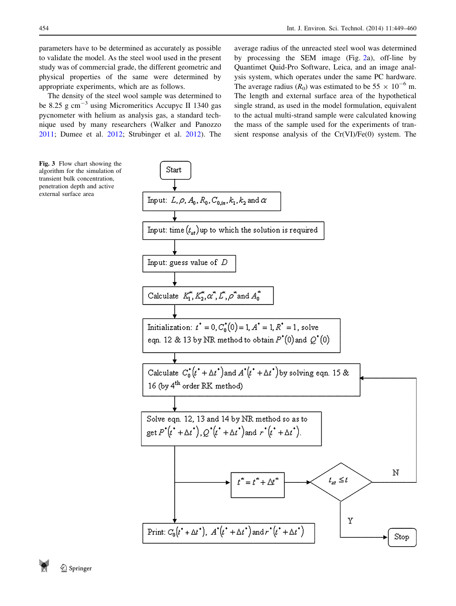<span id="page-5-0"></span>parameters have to be determined as accurately as possible to validate the model. As the steel wool used in the present study was of commercial grade, the different geometric and physical properties of the same were determined by appropriate experiments, which are as follows.

The density of the steel wool sample was determined to be 8.25 g cm<sup>-3</sup> using Micromeritics Accupyc II 1340 gas pycnometer with helium as analysis gas, a standard technique used by many researchers (Walker and Panozzo [2011;](#page-11-0) Dumee et al. [2012](#page-10-0); Strubinger et al. [2012\)](#page-11-0). The

average radius of the unreacted steel wool was determined by processing the SEM image (Fig. [2a](#page-4-0)), off-line by Quantimet Quid-Pro Software, Leica, and an image analysis system, which operates under the same PC hardware. The average radius  $(R_0)$  was estimated to be 55  $\times$  10<sup>-6</sup> m. The length and external surface area of the hypothetical single strand, as used in the model formulation, equivalent to the actual multi-strand sample were calculated knowing the mass of the sample used for the experiments of transient response analysis of the Cr(VI)/Fe(0) system. The

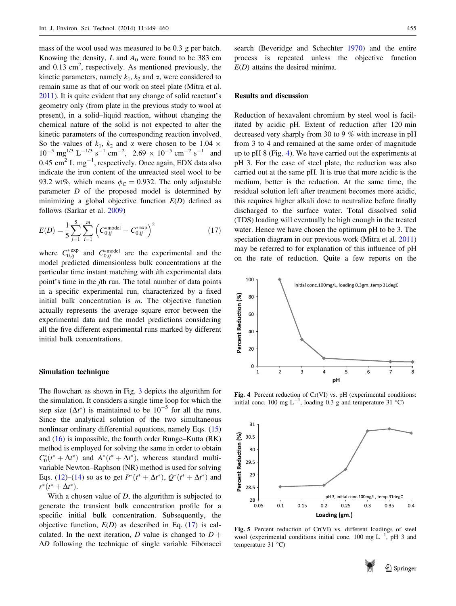<span id="page-6-0"></span>mass of the wool used was measured to be 0.3 g per batch. Knowing the density,  $L$  and  $A_0$  were found to be 383 cm and  $0.13 \text{ cm}^2$ , respectively. As mentioned previously, the kinetic parameters, namely  $k_1$ ,  $k_2$  and  $\alpha$ , were considered to remain same as that of our work on steel plate (Mitra et al. [2011\)](#page-10-0). It is quite evident that any change of solid reactant's geometry only (from plate in the previous study to wool at present), in a solid–liquid reaction, without changing the chemical nature of the solid is not expected to alter the kinetic parameters of the corresponding reaction involved. So the values of  $k_1$ ,  $k_2$  and  $\alpha$  were chosen to be 1.04  $\times$  $10^{-5}$  mg<sup>1/3</sup> L<sup>-1/3</sup> s<sup>-1</sup> cm<sup>-2</sup>, 2.69 × 10<sup>-5</sup> cm<sup>-2</sup> s<sup>-1</sup> and 0.45 cm<sup>2</sup> L mg<sup>-1</sup>, respectively. Once again, EDX data also indicate the iron content of the unreacted steel wool to be 93.2 wt%, which means  $\phi_C = 0.932$ . The only adjustable parameter D of the proposed model is determined by minimizing a global objective function  $E(D)$  defined as follows (Sarkar et al. [2009\)](#page-11-0)

$$
E(D) = \frac{1}{5} \sum_{j=1}^{5} \sum_{i=1}^{m} \left( C_{0,ij}^{\text{model}} - C_{0,ij}^{\text{*} \exp} \right)^2 \tag{17}
$$

where  $C_{0,ij}^{* \text{exp}}$  and  $C_{0,ij}^{* \text{model}}$  are the experimental and the model predicted dimensionless bulk concentrations at the particular time instant matching with ith experimental data point's time in the jth run. The total number of data points in a specific experimental run, characterized by a fixed initial bulk concentration is  $m$ . The objective function actually represents the average square error between the experimental data and the model predictions considering all the five different experimental runs marked by different initial bulk concentrations.

## Simulation technique

The flowchart as shown in Fig. [3](#page-5-0) depicts the algorithm for the simulation. It considers a single time loop for which the step size  $(\Delta t^*)$  is maintained to be  $10^{-5}$  for all the runs. Since the analytical solution of the two simultaneous nonlinear ordinary differential equations, namely Eqs. ([15\)](#page-3-0) and  $(16)$  $(16)$  is impossible, the fourth order Runge–Kutta  $(RK)$ method is employed for solving the same in order to obtain  $C_0^*(t^* + \Delta t^*)$  and  $A^*(t^* + \Delta t^*)$ , whereas standard multivariable Newton–Raphson (NR) method is used for solving Eqs. [\(12](#page-3-0))–([14\)](#page-3-0) so as to get  $P^*(t^* + \Delta t^*)$ ,  $Q^*(t^* + \Delta t^*)$  and  $r^{*}(t^{*} + \Delta t^{*}).$ 

With a chosen value of  $D$ , the algorithm is subjected to generate the transient bulk concentration profile for a specific initial bulk concentration. Subsequently, the objective function,  $E(D)$  as described in Eq. (17) is calculated. In the next iteration, D value is changed to  $D +$  $\Delta D$  following the technique of single variable Fibonacci search (Beveridge and Schechter [1970\)](#page-10-0) and the entire process is repeated unless the objective function  $E(D)$  attains the desired minima.

## Results and discussion

Reduction of hexavalent chromium by steel wool is facilitated by acidic pH. Extent of reduction after 120 min decreased very sharply from 30 to 9 % with increase in pH from 3 to 4 and remained at the same order of magnitude up to pH 8 (Fig. 4). We have carried out the experiments at pH 3. For the case of steel plate, the reduction was also carried out at the same pH. It is true that more acidic is the medium, better is the reduction. At the same time, the residual solution left after treatment becomes more acidic, this requires higher alkali dose to neutralize before finally discharged to the surface water. Total dissolved solid (TDS) loading will eventually be high enough in the treated water. Hence we have chosen the optimum pH to be 3. The speciation diagram in our previous work (Mitra et al. [2011\)](#page-10-0) may be referred to for explanation of this influence of pH on the rate of reduction. Quite a few reports on the



Fig. 4 Percent reduction of Cr(VI) vs. pH (experimental conditions: initial conc. 100 mg  $L^{-1}$ , loading 0.3 g and temperature 31 °C)



Fig. 5 Percent reduction of Cr(VI) vs. different loadings of steel wool (experimental conditions initial conc. 100 mg  $L^{-1}$ , pH 3 and temperature  $31^{\circ}$ C)

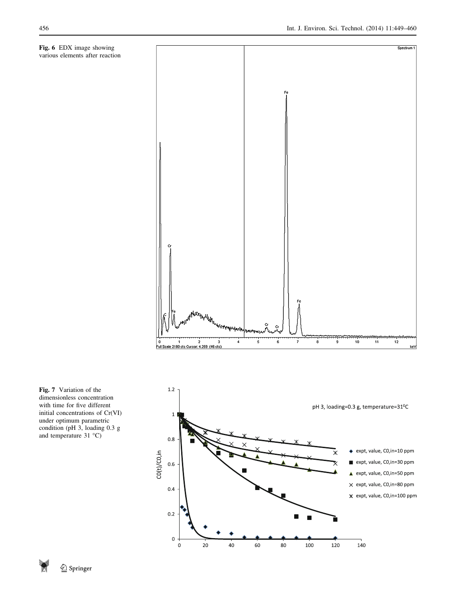<span id="page-7-0"></span>Fig. 6 EDX image showing various elements after reaction



Fig. 7 Variation of the dimensionless concentration with time for five different initial concentrations of Cr(VI) under optimum parametric condition (pH 3, loading 0.3 g and temperature  $31^{\circ}$ C)

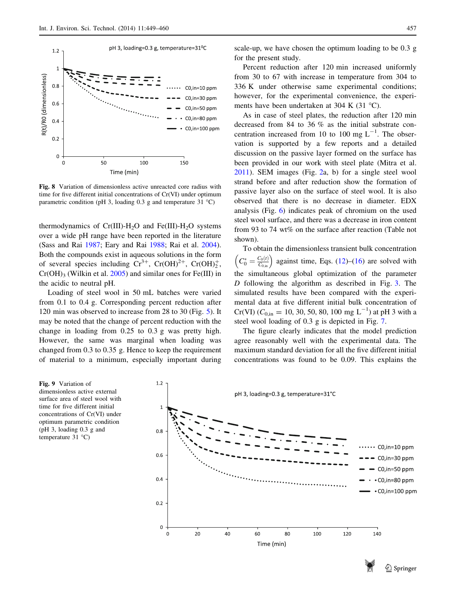<span id="page-8-0"></span>

Fig. 8 Variation of dimensionless active unreacted core radius with time for five different initial concentrations of Cr(VI) under optimum parametric condition (pH 3, loading 0.3 g and temperature 31  $^{\circ}$ C)

thermodynamics of Cr(III)-H<sub>2</sub>O and Fe(III)-H<sub>2</sub>O systems over a wide pH range have been reported in the literature (Sass and Rai [1987](#page-11-0); Eary and Rai [1988](#page-10-0); Rai et al. [2004](#page-11-0)). Both the compounds exist in aqueous solutions in the form of several species including  $Cr^{3+}$ ,  $Cr(OH)^{2+}$ ,  $Cr(OH)^{+}_{2}$ ,  $Cr(OH)_3$  (Wilkin et al. [2005](#page-11-0)) and similar ones for Fe(III) in the acidic to neutral pH.

Loading of steel wool in 50 mL batches were varied from 0.1 to 0.4 g. Corresponding percent reduction after 120 min was observed to increase from 28 to 30 (Fig. [5\)](#page-6-0). It may be noted that the change of percent reduction with the change in loading from 0.25 to 0.3 g was pretty high. However, the same was marginal when loading was changed from 0.3 to 0.35 g. Hence to keep the requirement of material to a minimum, especially important during



scale-up, we have chosen the optimum loading to be 0.3 g for the present study.

Percent reduction after 120 min increased uniformly from 30 to 67 with increase in temperature from 304 to 336 K under otherwise same experimental conditions; however, for the experimental convenience, the experiments have been undertaken at 304 K (31 $\degree$ C).

As in case of steel plates, the reduction after 120 min decreased from 84 to 36 % as the initial substrate concentration increased from 10 to 100 mg  $L^{-1}$ . The observation is supported by a few reports and a detailed discussion on the passive layer formed on the surface has been provided in our work with steel plate (Mitra et al. [2011](#page-10-0)). SEM images (Fig. [2](#page-4-0)a, b) for a single steel wool strand before and after reduction show the formation of passive layer also on the surface of steel wool. It is also observed that there is no decrease in diameter. EDX analysis (Fig. [6\)](#page-7-0) indicates peak of chromium on the used steel wool surface, and there was a decrease in iron content from 93 to 74 wt% on the surface after reaction (Table not shown).

To obtain the dimensionless transient bulk concentration  $\left(C_0^* = \frac{C_0(t)}{C_{0,\text{in}}}\right)$  against time, Eqs. ([12\)](#page-3-0)–[\(16](#page-3-0)) are solved with the simultaneous global optimization of the parameter  $D$  following the algorithm as described in Fig. [3.](#page-5-0) The simulated results have been compared with the experimental data at five different initial bulk concentration of  $Cr(VI)$  ( $C_{0,in}$  = 10, 30, 50, 80, 100 mg L<sup>-1</sup>) at pH 3 with a steel wool loading of 0.3 g is depicted in Fig. [7.](#page-7-0)

The figure clearly indicates that the model prediction agree reasonably well with the experimental data. The maximum standard deviation for all the five different initial concentrations was found to be 0.09. This explains the



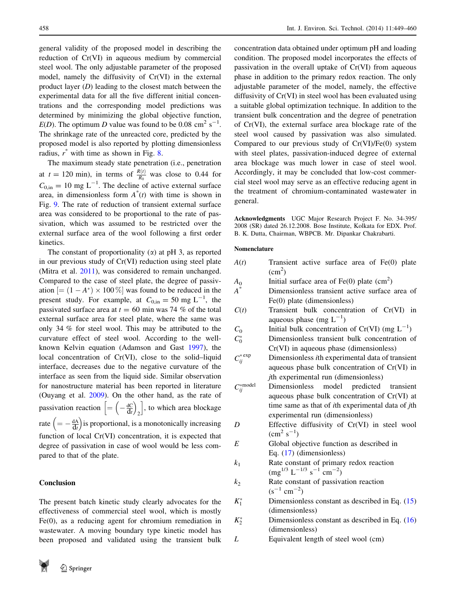general validity of the proposed model in describing the reduction of Cr(VI) in aqueous medium by commercial steel wool. The only adjustable parameter of the proposed model, namely the diffusivity of Cr(VI) in the external product layer  $(D)$  leading to the closest match between the experimental data for all the five different initial concentrations and the corresponding model predictions was determined by minimizing the global objective function,  $E(D)$ . The optimum D value was found to be 0.08 cm<sup>2</sup> s<sup>-1</sup>. The shrinkage rate of the unreacted core, predicted by the proposed model is also reported by plotting dimensionless radius,  $r^*$  with time as shown in Fig. [8.](#page-8-0)

The maximum steady state penetration (i.e., penetration at  $t = 120$  min), in terms of  $\frac{R(t)}{R_0}$  was close to 0.44 for  $C_{0,in} = 10$  mg L<sup>-1</sup>. The decline of active external surface area, in dimensionless form  $A^*(t)$  with time is shown in Fig. [9](#page-8-0). The rate of reduction of transient external surface area was considered to be proportional to the rate of passivation, which was assumed to be restricted over the external surface area of the wool following a first order kinetics.

The constant of proportionality  $(\alpha)$  at pH 3, as reported in our previous study of Cr(VI) reduction using steel plate (Mitra et al. [2011\)](#page-10-0), was considered to remain unchanged. Compared to the case of steel plate, the degree of passivation  $[=(1 - A^*) \times 100\%]$  was found to be reduced in the present study. For example, at  $C_{0,in} = 50$  mg L<sup>-1</sup>, the passivated surface area at  $t = 60$  min was 74 % of the total external surface area for steel plate, where the same was only 34 % for steel wool. This may be attributed to the curvature effect of steel wool. According to the wellknown Kelvin equation (Adamson and Gast [1997\)](#page-10-0), the local concentration of Cr(VI), close to the solid–liquid interface, decreases due to the negative curvature of the interface as seen from the liquid side. Similar observation for nanostructure material has been reported in literature (Ouyang et al. [2009](#page-10-0)). On the other hand, as the rate of passivation reaction  $\left[ = \left( -\frac{dC}{dt} \right)$  $\frac{1}{\sqrt{1-\frac{1}{2}}\sqrt{1-\frac{1}{2}}}$  $\left[ = \left( -\frac{dC}{dt} \right)_2 \right]$ , to which area blockage rate  $\left( = -\frac{dA}{dt} \right)$  is proportional, is a monotonically increasing function of local Cr(VI) concentration, it is expected that degree of passivation in case of wool would be less compared to that of the plate.

#### Conclusion

The present batch kinetic study clearly advocates for the effectiveness of commercial steel wool, which is mostly Fe(0), as a reducing agent for chromium remediation in wastewater. A moving boundary type kinetic model has been proposed and validated using the transient bulk



concentration data obtained under optimum pH and loading condition. The proposed model incorporates the effects of passivation in the overall uptake of Cr(VI) from aqueous phase in addition to the primary redox reaction. The only adjustable parameter of the model, namely, the effective diffusivity of Cr(VI) in steel wool has been evaluated using a suitable global optimization technique. In addition to the transient bulk concentration and the degree of penetration of Cr(VI), the external surface area blockage rate of the steel wool caused by passivation was also simulated. Compared to our previous study of Cr(VI)/Fe(0) system with steel plates, passivation-induced degree of external area blockage was much lower in case of steel wool. Accordingly, it may be concluded that low-cost commercial steel wool may serve as an effective reducing agent in the treatment of chromium-contaminated wastewater in general.

Acknowledgments UGC Major Research Project F. No. 34-395/ 2008 (SR) dated 26.12.2008. Bose Institute, Kolkata for EDX. Prof. B. K. Dutta, Chairman, WBPCB. Mr. Dipankar Chakrabarti.

#### Nomenclature

| Transient active surface area of Fe(0) plate<br>$\text{(cm}^2)$   |
|-------------------------------------------------------------------|
| Initial surface area of $Fe(0)$ plate $(cm2)$                     |
| Dimensionless transient active surface area of                    |
| $Fe(0)$ plate (dimensionless)                                     |
| Transient bulk concentration of Cr(VI) in                         |
| aqueous phase (mg $L^{-1}$ )                                      |
|                                                                   |
| Initial bulk concentration of $Cr(VI)$ (mg $L^{-1}$ )             |
| Dimensionless transient bulk concentration of                     |
| $Cr(VI)$ in aqueous phase (dimensionless)                         |
| Dimensionless <i>i</i> th experimental data of transient          |
| aqueous phase bulk concentration of Cr(VI) in                     |
| <i>j</i> th experimental run (dimensionless)                      |
| Dimensionless<br>model predicted transient                        |
| aqueous phase bulk concentration of Cr(VI) at                     |
| time same as that of <i>i</i> th experimental data of <i>j</i> th |
| experimental run (dimensionless)                                  |
| Effective diffusivity of Cr(VI) in steel wool                     |
| $\rm (cm^2~s^{-1})$                                               |
| Global objective function as described in                         |
| Eq. $(17)$ (dimensionless)                                        |
| Rate constant of primary redox reaction                           |
| $\rm (mg^{1/3}~L^{-1/3}~s^{-1}~cm^{-2})$                          |
| Rate constant of passivation reaction                             |
| $(s^{-1}$ cm <sup>-2</sup> )                                      |
| Dimensionless constant as described in Eq. $(15)$                 |
| (dimensionless)                                                   |
| Dimensionless constant as described in Eq. $(16)$                 |
| (dimensionless)                                                   |
| Equivalent length of steel wool (cm)                              |
|                                                                   |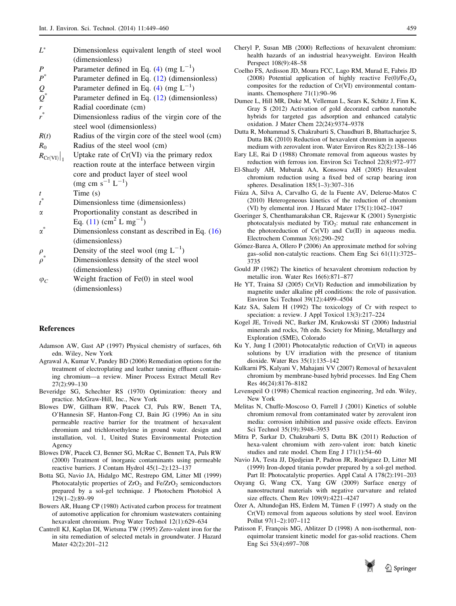- <span id="page-10-0"></span> $L^*$  Dimensionless equivalent length of steel wool (dimensionless)
- P Parameter defined in Eq. [\(4](#page-3-0)) (mg  $L^{-1}$ )
- $P^*$  Parameter defined in Eq. [\(12](#page-3-0)) (dimensionless)
- Q Parameter defined in Eq. [\(4](#page-3-0)) (mg  $L^{-1}$ )
- $Q^*$  Parameter defined in Eq. [\(12](#page-3-0)) (dimensionless)
- Radial coordinate (cm)
- r Dimensionless radius of the virgin core of the steel wool (dimensionless)
- $R(t)$  Radius of the virgin core of the steel wool (cm)

 $R_0$  Radius of the steel wool (cm)

- $R_{\text{Cr(VI)}}$ Uptake rate of  $Cr(VI)$  via the primary redox reaction route at the interface between virgin core and product layer of steel wool  $(mg cm s^{-1} L^{-1})$
- $t$  Time (s)
- t Dimensionless time (dimensionless)
- $\alpha$  Proportionality constant as described in Eq.  $(11)$  $(11)$  (cm<sup>2</sup> L mg<sup>-1</sup>)
- $\alpha^*$  Dimensionless constant as described in Eq. ([16\)](#page-3-0) (dimensionless)
- $\rho$  Density of the steel wool (mg  $L^{-1}$ )
- Dimensionless density of the steel wool (dimensionless)
- $\varphi_C$  Weight fraction of Fe(0) in steel wool (dimensionless)

#### References

- Adamson AW, Gast AP (1997) Physical chemistry of surfaces, 6th edn. Wiley, New York
- Agrawal A, Kumar V, Pandey BD (2006) Remediation options for the treatment of electroplating and leather tanning effluent containing chromium—a review. Miner Process Extract Metall Rev 27(2):99–130
- Beveridge SG, Schechter RS (1970) Optimization: theory and practice. McGraw-Hill, Inc., New York
- Blowes DW, Gillham RW, Ptacek CJ, Puls RW, Benett TA, O'Hannesin SF, Hanton-Fong CJ, Bain JG (1996) An in situ permeable reactive barrier for the treatment of hexavalent chromium and trichloroethylene in ground water. design and installation, vol. 1, United States Environmental Protection Agency
- Blowes DW, Ptacek CJ, Benner SG, McRae C, Bennett TA, Puls RW (2000) Treatment of inorganic contaminants using permeable reactive barriers. J Contam Hydrol 45(1–2):123–137
- Botta SG, Navio JA, Hidalgo MC, Restrepo GM, Litter MI (1999) Photocatalytic properties of  $ZrO<sub>2</sub>$  and  $Fe/ZrO<sub>2</sub>$  semiconductors prepared by a sol-gel technique. J Photochem Photobiol A 129(1–2):89–99
- Bowers AR, Huang CP (1980) Activated carbon process for treatment of automotive application for chromium wastewaters containing hexavalent chromium. Prog Water Technol 12(1):629–634
- Cantrell KJ, Kaplan DI, Wietsma TW (1995) Zero-valent iron for the in situ remediation of selected metals in groundwater. J Hazard Mater 42(2):201–212
- Cheryl P, Susan MB (2000) Reflections of hexavalent chromium: health hazards of an industrial heavyweight. Environ Health Perspect 108(9):48–58
- Coelho FS, Ardisson JD, Moura FCC, Lago RM, Murad E, Fabris JD (2008) Potential application of highly reactive  $Fe(0)/Fe<sub>3</sub>O<sub>4</sub>$ composites for the reduction of Cr(VI) environmental contaminants. Chemosphere 71(1):90–96
- Dumee L, Hill MR, Duke M, Velleman L, Sears K, Schütz J, Finn K, Gray S (2012) Activation of gold decorated carbon nanotube hybrids for targeted gas adsorption and enhanced catalytic oxidation. J Mater Chem 22(24):9374–9378
- Dutta R, Mohammad S, Chakrabarti S, Chaudhuri B, Bhattacharjee S, Dutta BK (2010) Reduction of hexavalent chromium in aqueous medium with zerovalent iron. Water Environ Res 82(2):138–146
- Eary LE, Rai D (1988) Chromate removal from aqueous wastes by reduction with ferrous ion. Environ Sci Technol 22(8):972–977
- El-Shazly AH, Mubarak AA, Konsowa AH (2005) Hexavalent chromium reduction using a fixed bed of scrap bearing iron spheres. Desalination 185(1–3):307–316
- Fiúza A, Silva A, Carvalho G, de la Fuente AV, Delerue-Matos C (2010) Heterogeneous kinetics of the reduction of chromium (VI) by elemental iron. J Hazard Mater 175(1):1042–1047
- Goeringer S, Chenthamarakshan CR, Rajeswar K (2001) Synergistic photocatalysis mediated by  $TiO<sub>2</sub>$ : mutual rate enhancement in the photoreduction of Cr(VI) and Cu(II) in aqueous media. Electrochem Commun 3(6):290–292
- Gómez-Barea A, Ollero P (2006) An approximate method for solving gas–solid non-catalytic reactions. Chem Eng Sci 61(11):3725– 3735
- Gould JP (1982) The kinetics of hexavalent chromium reduction by metallic iron. Water Res 16(6):871–877
- He YT, Traina SJ (2005) Cr(VI) Reduction and immobilization by magnetite under alkaline pH conditions: the role of passivation. Environ Sci Technol 39(12):4499–4504
- Katz SA, Salem H (1992) The toxicology of Cr with respect to speciation: a review. J Appl Toxicol 13(3):217–224
- Kogel JE, Trivedi NC, Barker JM, Krukowski ST (2006) Industrial minerals and rocks, 7th edn. Society for Mining, Metallurgy and Exploration (SME), Colorado
- Ku Y, Jung I (2001) Photocatalytic reduction of Cr(VI) in aqueous solutions by UV irradiation with the presence of titanium dioxide. Water Res 35(1):135–142
- Kulkarni PS, Kalyani V, Mahajani VV (2007) Removal of hexavalent chromium by membrane-based hybrid processes. Ind Eng Chem Res 46(24):8176–8182
- Levenspeil O (1998) Chemical reaction engineering, 3rd edn. Wiley, New York
- Melitas N, Chuffe-Moscoso O, Farrell J (2001) Kinetics of soluble chromium removal from contaminated water by zerovalent iron media: corrosion inhibition and passive oxide effects. Environ Sci Technol 35(19):3948–3953
- Mitra P, Sarkar D, Chakrabarti S, Dutta BK (2011) Reduction of hexa-valent chromium with zero-valent iron: batch kinetic studies and rate model. Chem Eng J 171(1):54–60
- Navio JA, Testa JJ, Djedjeian P, Padron JR, Rodriguez D, Litter MI (1999) Iron-doped titania powder prepared by a sol-gel method. Part II: Photocatalytic properties. Appl Catal A 178(2):191–203
- Ouyang G, Wang CX, Yang GW (2009) Surface energy of nanostructural materials with negative curvature and related size effects. Chem Rev 109(9):4221–4247
- Özer A, Altundoğan HS, Erdem M, Tümen F (1997) A study on the Cr(VI) removal from aqueous solutions by steel wool. Environ Pollut 97(1–2):107–112
- Patisson F, François MG, Ablitzer D (1998) A non-isothermal, nonequimolar transient kinetic model for gas-solid reactions. Chem Eng Sci 53(4):697–708